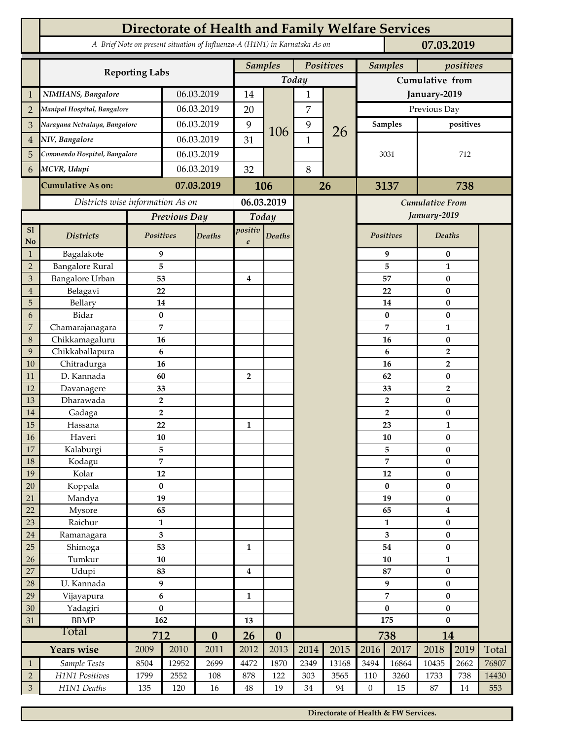|                   | <b>Directorate of Health and Family Welfare Services</b>                                 |                         |            |                  |                             |                  |              |                        |                         |                    |                        |                         |       |  |
|-------------------|------------------------------------------------------------------------------------------|-------------------------|------------|------------------|-----------------------------|------------------|--------------|------------------------|-------------------------|--------------------|------------------------|-------------------------|-------|--|
|                   | A Brief Note on present situation of Influenza-A (H1N1) in Karnataka As on<br>07.03.2019 |                         |            |                  |                             |                  |              |                        |                         |                    |                        |                         |       |  |
|                   |                                                                                          |                         |            |                  | <b>Samples</b><br>Positives |                  |              |                        |                         | <b>Samples</b>     | positives              |                         |       |  |
|                   | <b>Reporting Labs</b>                                                                    |                         |            |                  | Today                       |                  |              |                        | Cumulative from         |                    |                        |                         |       |  |
|                   | NIMHANS, Bangalore                                                                       | 06.03.2019              |            | 14               |                             | 1                |              | January-2019           |                         |                    |                        |                         |       |  |
| $\overline{2}$    | Manipal Hospital, Bangalore                                                              |                         |            | 06.03.2019       | 20                          |                  | 7            |                        | Previous Day            |                    |                        |                         |       |  |
| 3                 | Narayana Netralaya, Bangalore                                                            |                         | 06.03.2019 |                  | 9                           |                  | 9            |                        | <b>Samples</b>          |                    | positives              |                         |       |  |
| 4                 | NIV, Bangalore                                                                           |                         |            | 06.03.2019       |                             | 106              | $\mathbf{1}$ | 26                     | 3031                    |                    | 712                    |                         |       |  |
| 5                 | Commando Hospital, Bangalore                                                             |                         | 06.03.2019 |                  | 31                          |                  |              |                        |                         |                    |                        |                         |       |  |
| 6                 | MCVR, Udupi                                                                              | 06.03.2019              |            | 32               | 8                           |                  |              |                        |                         |                    |                        |                         |       |  |
|                   | <b>Cumulative As on:</b>                                                                 |                         | 07.03.2019 |                  |                             | 106              |              | 26                     |                         | 3137               |                        | 738                     |       |  |
|                   | Districts wise information As on                                                         |                         |            | 06.03.2019       |                             |                  |              | <b>Cumulative From</b> |                         |                    |                        |                         |       |  |
|                   |                                                                                          | Previous Day            |            | Today            |                             |                  |              |                        |                         | January-2019       |                        |                         |       |  |
| SI                |                                                                                          | Positives               |            |                  | positiv                     |                  |              |                        |                         | <b>Positives</b>   | Deaths                 |                         |       |  |
| <b>No</b>         | <b>Districts</b>                                                                         |                         |            | Deaths           | $\boldsymbol{e}$            | Deaths           |              |                        |                         |                    |                        |                         |       |  |
| $\mathbf{1}$      | Bagalakote                                                                               | 9                       |            |                  |                             |                  |              |                        |                         | 9                  | $\bf{0}$               |                         |       |  |
| $\overline{2}$    | <b>Bangalore Rural</b>                                                                   | 5                       |            |                  |                             |                  |              |                        |                         | 5                  | $\mathbf{1}$           |                         |       |  |
| 3                 | <b>Bangalore Urban</b>                                                                   | 53                      |            |                  | $\bf{4}$                    |                  |              |                        |                         | 57<br>22           | $\bf{0}$               |                         |       |  |
| $\overline{4}$    | Belagavi                                                                                 | 22<br>14                |            |                  |                             |                  |              |                        |                         |                    | $\bf{0}$<br>$\bf{0}$   |                         |       |  |
| 5<br>6            | Bellary<br>Bidar                                                                         | $\bf{0}$                |            |                  |                             |                  |              |                        |                         | 14<br>$\mathbf{0}$ | $\bf{0}$               |                         |       |  |
| 7                 | Chamarajanagara                                                                          | 7                       |            |                  |                             |                  |              |                        |                         | 7                  | $\mathbf{1}$           |                         |       |  |
| 8                 | Chikkamagaluru                                                                           | 16                      |            |                  |                             |                  |              |                        |                         | 16                 | $\bf{0}$               |                         |       |  |
| 9                 | Chikkaballapura                                                                          | 6                       |            |                  |                             |                  |              |                        |                         | 6                  | $\overline{2}$         |                         |       |  |
| 10                | Chitradurga                                                                              | 16                      |            |                  | $\overline{2}$              |                  |              |                        |                         | 16                 | $\overline{2}$         |                         |       |  |
| 11                | D. Kannada                                                                               | 60                      |            |                  |                             |                  |              |                        |                         | 62                 | $\bf{0}$               |                         |       |  |
| 12                | Davanagere                                                                               | 33                      |            |                  |                             |                  |              |                        |                         | 33                 | $\overline{2}$         |                         |       |  |
| 13                | Dharawada                                                                                | $\overline{2}$          |            |                  |                             |                  |              |                        |                         | $\overline{2}$     | $\bf{0}$               |                         |       |  |
| 14                | Gadaga                                                                                   | $\overline{2}$          |            |                  |                             |                  |              |                        |                         | $\overline{2}$     | $\bf{0}$               |                         |       |  |
| 15                | Hassana                                                                                  | 22                      |            |                  | $\mathbf{1}$                |                  |              |                        |                         | 23                 | $\mathbf{1}$           |                         |       |  |
| 16                | Haveri                                                                                   | 10                      |            |                  |                             |                  |              |                        |                         | ${\bf 10}$         | $\pmb{0}$              |                         |       |  |
| 17                | Kalaburgi                                                                                | 5                       |            |                  |                             |                  |              |                        |                         | 5                  |                        | $\bf{0}$                |       |  |
| 18                | Kodagu                                                                                   | $\overline{7}$          |            |                  |                             |                  |              |                        |                         | 7                  | $\pmb{0}$              |                         |       |  |
| 19                | Kolar                                                                                    | 12                      |            |                  |                             |                  |              |                        |                         | $12\,$             | $\pmb{0}$              |                         |       |  |
| 20                | Koppala                                                                                  | $\bf{0}$                |            |                  |                             |                  |              |                        |                         | $\bf{0}$           |                        | $\bf{0}$                |       |  |
| 21                | Mandya                                                                                   | 19                      |            |                  |                             |                  |              |                        |                         | 19                 | $\bf{0}$               |                         |       |  |
| 22                | Mysore                                                                                   | 65                      |            |                  |                             |                  |              |                        |                         | 65                 |                        | $\overline{\mathbf{4}}$ |       |  |
| 23                | Raichur                                                                                  | $\mathbf{1}$            |            |                  |                             |                  |              |                        |                         | $\mathbf{1}$       |                        | $\pmb{0}$               |       |  |
| $24\,$            | Ramanagara                                                                               | $\overline{\mathbf{3}}$ |            |                  |                             |                  |              |                        | $\overline{\mathbf{3}}$ |                    | $\bf{0}$               |                         |       |  |
| 25                | Shimoga                                                                                  | 53                      |            |                  | $\mathbf{1}$                |                  |              |                        |                         | 54                 | $\pmb{0}$              |                         |       |  |
| 26                | Tumkur                                                                                   | 10                      |            |                  |                             |                  |              |                        | ${\bf 10}$              |                    | $\mathbf{1}$           |                         |       |  |
| 27                | Udupi                                                                                    | 83                      |            |                  | $\bf{4}$                    |                  |              |                        | 87                      |                    | $\pmb{0}$              |                         |       |  |
| 28                | U. Kannada                                                                               | 9                       |            |                  |                             |                  |              |                        | 9<br>$\overline{7}$     |                    | $\pmb{0}$              |                         |       |  |
| 29<br>$30\,$      | Vijayapura                                                                               | 6<br>$\pmb{0}$          |            |                  | $\mathbf{1}$                |                  |              |                        | $\bf{0}$                |                    | $\pmb{0}$<br>$\pmb{0}$ |                         |       |  |
| 31                | Yadagiri<br><b>BBMP</b>                                                                  | 162                     |            |                  | 13                          |                  |              |                        | 175                     |                    | $\bf{0}$               |                         |       |  |
|                   | Total                                                                                    | 712                     |            | $\boldsymbol{0}$ | 26                          | $\boldsymbol{0}$ |              |                        |                         | 738                | 14                     |                         |       |  |
| <b>Years wise</b> |                                                                                          | 2009                    | 2010       | 2011             | 2012                        | 2013             | 2014         | 2015                   | 2016                    | 2017               | 2018                   | 2019                    | Total |  |
| $\mathbf{1}$      | Sample Tests                                                                             | 8504                    | 12952      | 2699             | 4472                        | 1870             | 2349         | 13168                  | 3494                    | 16864              | 10435                  | 2662                    | 76807 |  |
| $\sqrt{2}$        | H1N1 Positives                                                                           | 1799                    | 2552       | 108              | 878                         | 122              | 303          | 3565                   | 110                     | 3260               | 1733                   | 738                     | 14430 |  |
| $\mathfrak 3$     | H1N1 Deaths                                                                              | 135                     | 120        | 16               | $48\,$                      | 19               | 34           | 94                     | $\boldsymbol{0}$        | 15                 | 87                     | $14\,$                  | 553   |  |

**Directorate of Health & FW Services.**